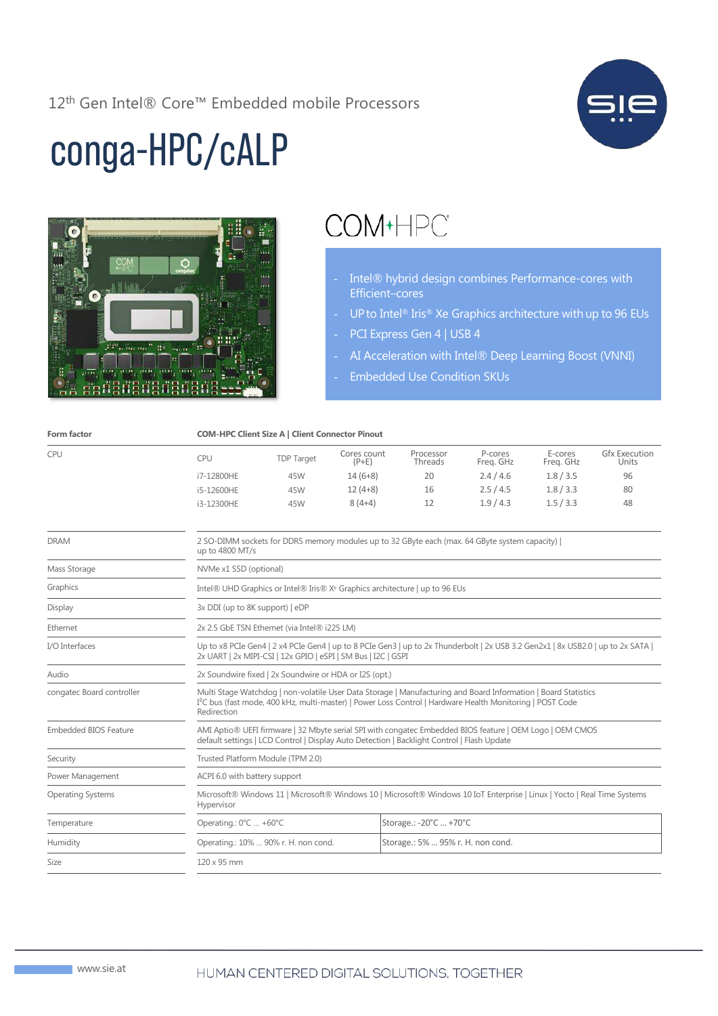12<sup>th</sup> Gen Intel® Core™ Embedded mobile Processors



# conga-HPC/cALP



## COM+HPC\*

- Intel® hybrid design combines Performance-cores with Efficient–cores
- UP to Intel<sup>®</sup> Iris<sup>®</sup> Xe Graphics architecture with up to 96 EUs
- PCI Express Gen 4 | USB 4
- AI Acceleration with Intel® Deep Learning Boost (VNNI)
- Embedded Use Condition SKUs

| Form factor                  | <b>COM-HPC Client Size A   Client Connector Pinout</b>                                                                                                                                                                                                 |                                                                           |                        |                        |                      |                      |                               |
|------------------------------|--------------------------------------------------------------------------------------------------------------------------------------------------------------------------------------------------------------------------------------------------------|---------------------------------------------------------------------------|------------------------|------------------------|----------------------|----------------------|-------------------------------|
| CPU                          | <b>CPU</b>                                                                                                                                                                                                                                             | <b>TDP Target</b>                                                         | Cores count<br>$(P+E)$ | Processor<br>Threads   | P-cores<br>Freg. GHz | E-cores<br>Freg. GHz | <b>Gfx Execution</b><br>Units |
|                              | i7-12800HE                                                                                                                                                                                                                                             | 45W                                                                       | $14(6+8)$              | 20                     | 2.4/4.6              | 1.8 / 3.5            | 96                            |
|                              | i5-12600HE                                                                                                                                                                                                                                             | 45W                                                                       | $12(4+8)$              | 16                     | 2.5/4.5              | 1.8/3.3              | 80                            |
|                              | i3-12300HE                                                                                                                                                                                                                                             | 45W                                                                       | $8(4+4)$               | 12                     | 1.9/4.3              | 1.5 / 3.3            | 48                            |
| <b>DRAM</b>                  | 2 SO-DIMM sockets for DDR5 memory modules up to 32 GByte each (max. 64 GByte system capacity)  <br>up to 4800 MT/s                                                                                                                                     |                                                                           |                        |                        |                      |                      |                               |
| Mass Storage                 | NVMe x1 SSD (optional)                                                                                                                                                                                                                                 |                                                                           |                        |                        |                      |                      |                               |
| Graphics                     | Intel® UHD Graphics or Intel® Iris® X <sup>e</sup> Graphics architecture   up to 96 EUs                                                                                                                                                                |                                                                           |                        |                        |                      |                      |                               |
| Display                      | 3x DDI (up to 8K support)   eDP                                                                                                                                                                                                                        |                                                                           |                        |                        |                      |                      |                               |
| Ethernet                     | 2x 2.5 GbE TSN Ethernet (via Intel® i225 LM)                                                                                                                                                                                                           |                                                                           |                        |                        |                      |                      |                               |
| I/O Interfaces               | Up to x8 PCIe Gen4   2 x4 PCIe Gen4   up to 8 PCIe Gen3   up to 2x Thunderbolt   2x USB 3.2 Gen2x1   8x USB2.0   up to 2x SATA  <br>2x UART   2x MIPI-CSI   12x GPIO   eSPI   SM Bus   I2C   GSPI                                                      |                                                                           |                        |                        |                      |                      |                               |
| Audio                        | 2x Soundwire fixed   2x Soundwire or HDA or I2S (opt.)                                                                                                                                                                                                 |                                                                           |                        |                        |                      |                      |                               |
| congatec Board controller    | Multi Stage Watchdog   non-volatile User Data Storage   Manufacturing and Board Information   Board Statistics<br>I <sup>2</sup> C bus (fast mode, 400 kHz, multi-master)   Power Loss Control   Hardware Health Monitoring   POST Code<br>Redirection |                                                                           |                        |                        |                      |                      |                               |
| <b>Embedded BIOS Feature</b> | AMI Aptio® UEFI firmware   32 Mbyte serial SPI with congatec Embedded BIOS feature   OEM Logo   OEM CMOS<br>default settings   LCD Control   Display Auto Detection   Backlight Control   Flash Update                                                 |                                                                           |                        |                        |                      |                      |                               |
| Security                     | Trusted Platform Module (TPM 2.0)                                                                                                                                                                                                                      |                                                                           |                        |                        |                      |                      |                               |
| Power Management             | ACPI 6.0 with battery support                                                                                                                                                                                                                          |                                                                           |                        |                        |                      |                      |                               |
| <b>Operating Systems</b>     | Microsoft® Windows 11   Microsoft® Windows 10   Microsoft® Windows 10 IoT Enterprise   Linux   Yocto   Real Time Systems<br>Hypervisor                                                                                                                 |                                                                           |                        |                        |                      |                      |                               |
| Temperature                  | Operating.: 0°C  +60°C                                                                                                                                                                                                                                 |                                                                           |                        | Storage.: -20°C  +70°C |                      |                      |                               |
| Humidity                     |                                                                                                                                                                                                                                                        | Operating.: 10%  90% r. H. non cond.<br>Storage.: 5%  95% r. H. non cond. |                        |                        |                      |                      |                               |
| Size                         | 120 x 95 mm                                                                                                                                                                                                                                            |                                                                           |                        |                        |                      |                      |                               |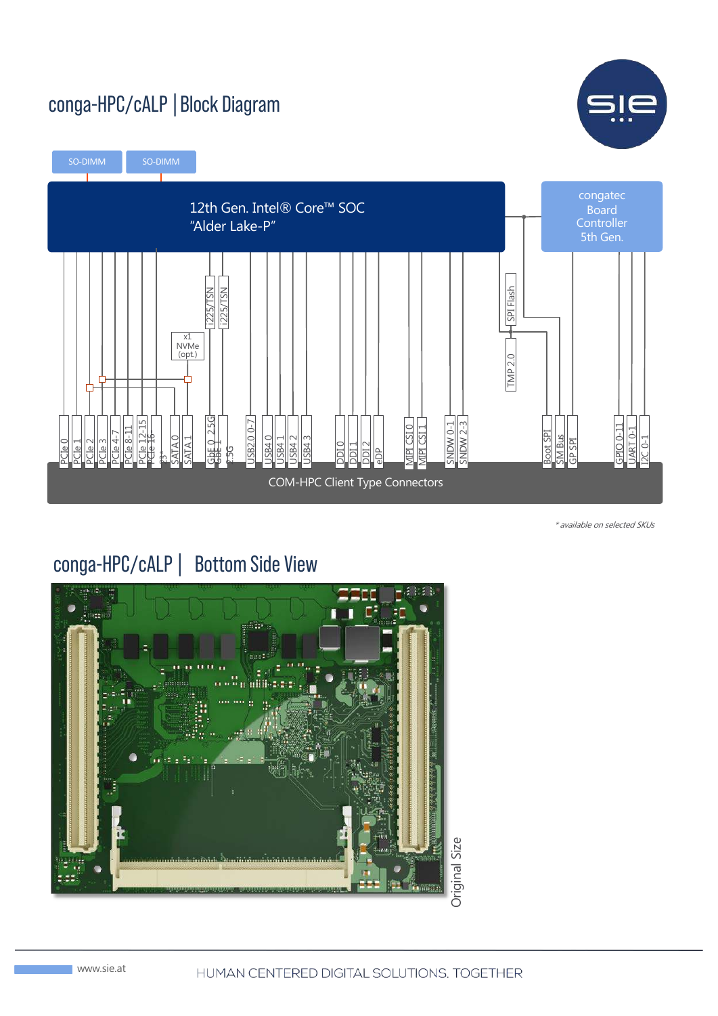#### conga-HPC/cALP|Block Diagram





\* available on selected SKUs

#### conga-HPC/cALP| Bottom Side View